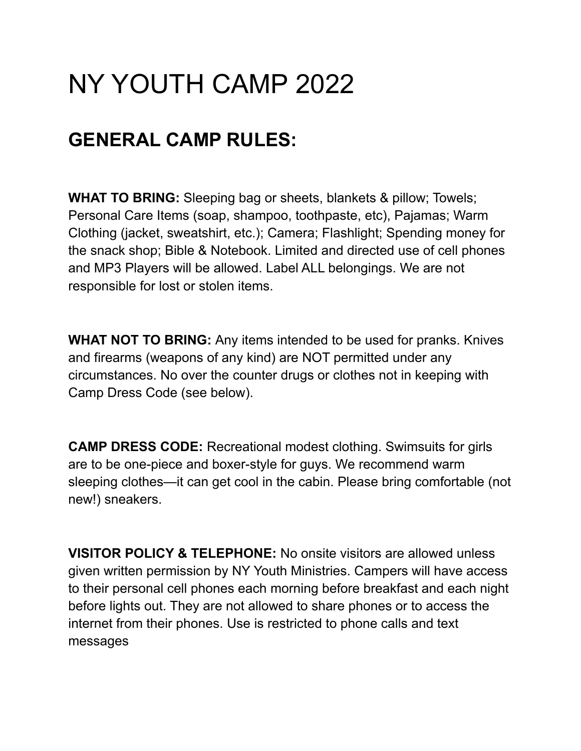# NY YOUTH CAMP 2022

## **GENERAL CAMP RULES:**

**WHAT TO BRING:** Sleeping bag or sheets, blankets & pillow; Towels; Personal Care Items (soap, shampoo, toothpaste, etc), Pajamas; Warm Clothing (jacket, sweatshirt, etc.); Camera; Flashlight; Spending money for the snack shop; Bible & Notebook. Limited and directed use of cell phones and MP3 Players will be allowed. Label ALL belongings. We are not responsible for lost or stolen items.

**WHAT NOT TO BRING:** Any items intended to be used for pranks. Knives and firearms (weapons of any kind) are NOT permitted under any circumstances. No over the counter drugs or clothes not in keeping with Camp Dress Code (see below).

**CAMP DRESS CODE:** Recreational modest clothing. Swimsuits for girls are to be one-piece and boxer-style for guys. We recommend warm sleeping clothes—it can get cool in the cabin. Please bring comfortable (not new!) sneakers.

**VISITOR POLICY & TELEPHONE:** No onsite visitors are allowed unless given written permission by NY Youth Ministries. Campers will have access to their personal cell phones each morning before breakfast and each night before lights out. They are not allowed to share phones or to access the internet from their phones. Use is restricted to phone calls and text messages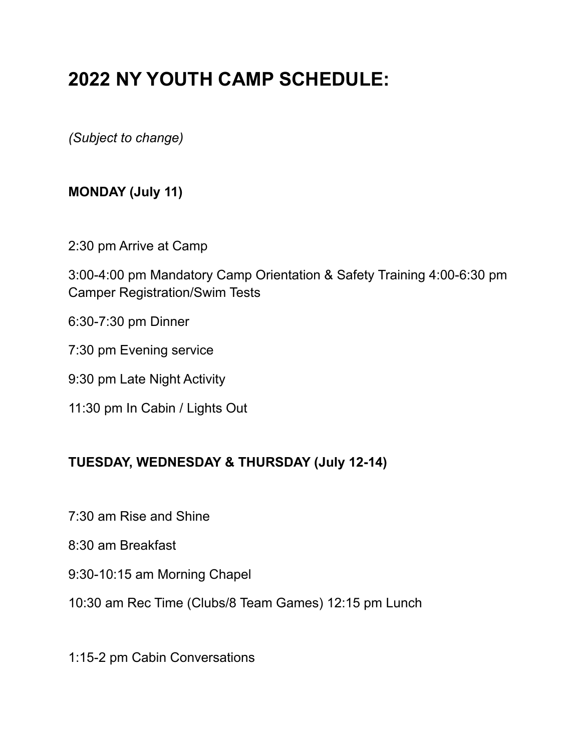# **2022 NY YOUTH CAMP SCHEDULE:**

*(Subject to change)*

## **MONDAY (July 11)**

2:30 pm Arrive at Camp

3:00-4:00 pm Mandatory Camp Orientation & Safety Training 4:00-6:30 pm Camper Registration/Swim Tests

- 6:30-7:30 pm Dinner
- 7:30 pm Evening service
- 9:30 pm Late Night Activity
- 11:30 pm In Cabin / Lights Out

### **TUESDAY, WEDNESDAY & THURSDAY (July 12-14)**

- 7:30 am Rise and Shine
- 8:30 am Breakfast
- 9:30-10:15 am Morning Chapel
- 10:30 am Rec Time (Clubs/8 Team Games) 12:15 pm Lunch
- 1:15-2 pm Cabin Conversations